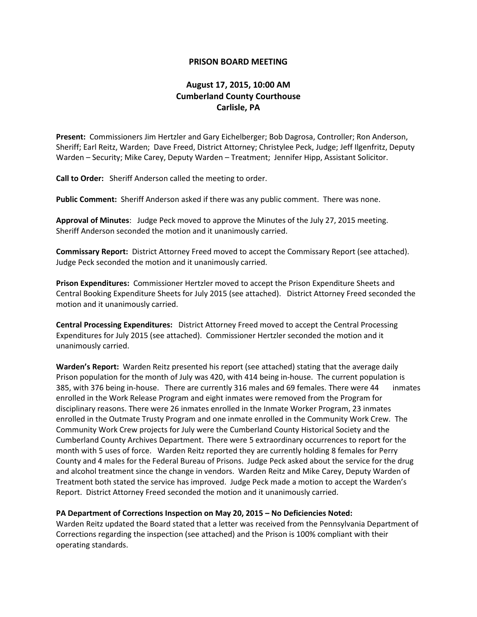## **PRISON BOARD MEETING**

## **August 17, 2015, 10:00 AM Cumberland County Courthouse Carlisle, PA**

**Present:** Commissioners Jim Hertzler and Gary Eichelberger; Bob Dagrosa, Controller; Ron Anderson, Sheriff; Earl Reitz, Warden; Dave Freed, District Attorney; Christylee Peck, Judge; Jeff Ilgenfritz, Deputy Warden – Security; Mike Carey, Deputy Warden – Treatment; Jennifer Hipp, Assistant Solicitor.

**Call to Order:** Sheriff Anderson called the meeting to order.

**Public Comment:** Sheriff Anderson asked if there was any public comment. There was none.

**Approval of Minutes**: Judge Peck moved to approve the Minutes of the July 27, 2015 meeting. Sheriff Anderson seconded the motion and it unanimously carried.

**Commissary Report:** District Attorney Freed moved to accept the Commissary Report (see attached). Judge Peck seconded the motion and it unanimously carried.

**Prison Expenditures:** Commissioner Hertzler moved to accept the Prison Expenditure Sheets and Central Booking Expenditure Sheets for July 2015 (see attached). District Attorney Freed seconded the motion and it unanimously carried.

**Central Processing Expenditures:** District Attorney Freed moved to accept the Central Processing Expenditures for July 2015 (see attached).Commissioner Hertzler seconded the motion and it unanimously carried.

**Warden's Report:** Warden Reitz presented his report (see attached) stating that the average daily Prison population for the month of July was 420, with 414 being in-house. The current population is 385, with 376 being in-house. There are currently 316 males and 69 females. There were 44 inmates enrolled in the Work Release Program and eight inmates were removed from the Program for disciplinary reasons. There were 26 inmates enrolled in the Inmate Worker Program, 23 inmates enrolled in the Outmate Trusty Program and one inmate enrolled in the Community Work Crew. The Community Work Crew projects for July were the Cumberland County Historical Society and the Cumberland County Archives Department. There were 5 extraordinary occurrences to report for the month with 5 uses of force. Warden Reitz reported they are currently holding 8 females for Perry County and 4 males for the Federal Bureau of Prisons. Judge Peck asked about the service for the drug and alcohol treatment since the change in vendors. Warden Reitz and Mike Carey, Deputy Warden of Treatment both stated the service has improved. Judge Peck made a motion to accept the Warden's Report. District Attorney Freed seconded the motion and it unanimously carried.

## **PA Department of Corrections Inspection on May 20, 2015 – No Deficiencies Noted:**

Warden Reitz updated the Board stated that a letter was received from the Pennsylvania Department of Corrections regarding the inspection (see attached) and the Prison is 100% compliant with their operating standards.